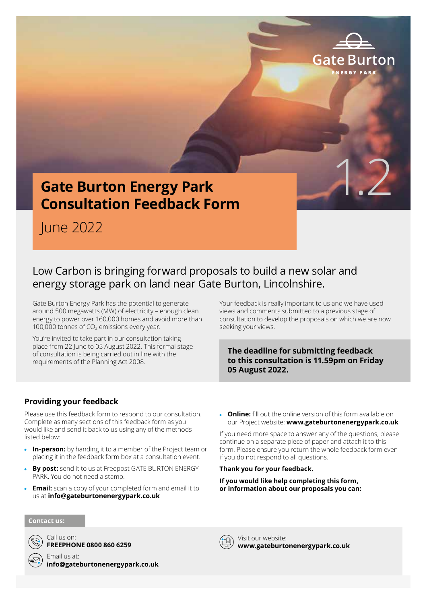

June 2022

### Low Carbon is bringing forward proposals to build a new solar and energy storage park on land near Gate Burton, Lincolnshire.

Gate Burton Energy Park has the potential to generate around 500 megawatts (MW) of electricity – enough clean energy to power over 160,000 homes and avoid more than 100,000 tonnes of  $CO<sub>2</sub>$  emissions every year.

You're invited to take part in our consultation taking place from 22 June to 05 August 2022. This formal stage of consultation is being carried out in line with the requirements of the Planning Act 2008.

Your feedback is really important to us and we have used views and comments submitted to a previous stage of consultation to develop the proposals on which we are now seeking your views.

1.2

Gafe

### **The deadline for submitting feedback to this consultation is 11.59pm on Friday 05 August 2022.**

### **Providing your feedback**

Please use this feedback form to respond to our consultation. Complete as many sections of this feedback form as you would like and send it back to us using any of the methods listed below:

- **In-person:** by handing it to a member of the Project team or placing it in the feedback form box at a consultation event.
- **By post:** send it to us at Freepost GATE BURTON ENERGY PARK. You do not need a stamp.
- **Email:** scan a copy of your completed form and email it to us at **info@gateburtonenergypark.co.uk**

 **Online:** fill out the online version of this form available on our Project website: **www.gateburtonenergypark.co.uk**

If you need more space to answer any of the questions, please continue on a separate piece of paper and attach it to this form. Please ensure you return the whole feedback form even if you do not respond to all questions.

#### **Thank you for your feedback.**

**If you would like help completing this form, or information about our proposals you can:**

#### **Contact us:**



Call us on: **FREEPHONE 0800 860 6259**

Email us at: **info@gateburtonenergypark.co.uk**

Visit our website: **www.gateburtonenergypark.co.uk**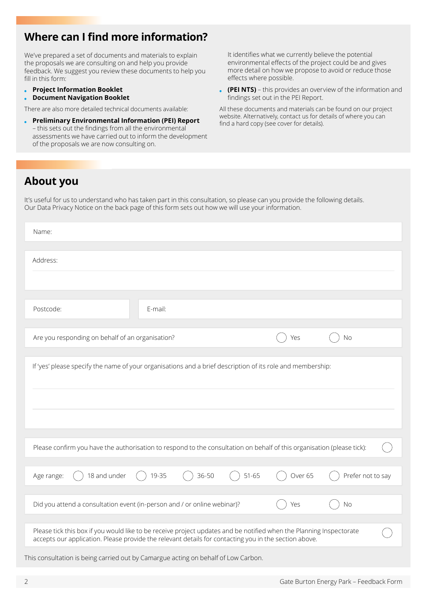# **Where can I find more information?**

We've prepared a set of documents and materials to explain the proposals we are consulting on and help you provide feedback. We suggest you review these documents to help you fill in this form:

- **Project Information Booklet**
- **Document Navigation Booklet**

There are also more detailed technical documents available:

 **Preliminary Environmental Information (PEI) Report** – this sets out the findings from all the environmental assessments we have carried out to inform the development of the proposals we are now consulting on.

It identifies what we currently believe the potential environmental effects of the project could be and gives more detail on how we propose to avoid or reduce those effects where possible.

 **(PEI NTS)** – this provides an overview of the information and findings set out in the PEI Report.

All these documents and materials can be found on our project website. Alternatively, contact us for details of where you can find a hard copy (see cover for details).

### **About you**

It's useful for us to understand who has taken part in this consultation, so please can you provide the following details. Our Data Privacy Notice on the back page of this form sets out how we will use your information.

| Name:                                                                                                                                                                                                                        |                   |
|------------------------------------------------------------------------------------------------------------------------------------------------------------------------------------------------------------------------------|-------------------|
| Address:                                                                                                                                                                                                                     |                   |
| Postcode:<br>E-mail:                                                                                                                                                                                                         |                   |
| Are you responding on behalf of an organisation?<br>Yes                                                                                                                                                                      | No                |
| If 'yes' please specify the name of your organisations and a brief description of its role and membership:                                                                                                                   |                   |
| Please confirm you have the authorisation to respond to the consultation on behalf of this organisation (please tick):                                                                                                       |                   |
| 18 and under<br>36-50<br>$51 - 65$<br>19-35<br>Over 65<br>Age range:                                                                                                                                                         | Prefer not to say |
| Did you attend a consultation event (in-person and / or online webinar)?<br>Yes                                                                                                                                              | <b>No</b>         |
| Please tick this box if you would like to be receive project updates and be notified when the Planning Inspectorate<br>accepts our application. Please provide the relevant details for contacting you in the section above. |                   |
| This consultation is being carried out by Camargue acting on behalf of Low Carbon.                                                                                                                                           |                   |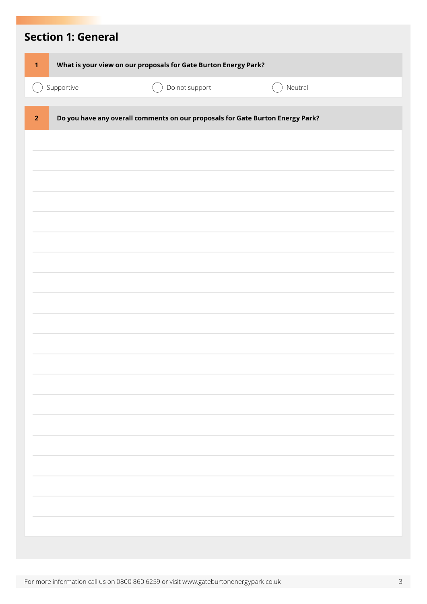| <b>Section 1: General</b> |                                                                                |         |
|---------------------------|--------------------------------------------------------------------------------|---------|
| $\mathbf{1}$              | What is your view on our proposals for Gate Burton Energy Park?                |         |
| Supportive                | Do not support                                                                 | Neutral |
| $\overline{2}$            | Do you have any overall comments on our proposals for Gate Burton Energy Park? |         |
|                           |                                                                                |         |
|                           |                                                                                |         |
|                           |                                                                                |         |
|                           |                                                                                |         |
|                           |                                                                                |         |
|                           |                                                                                |         |
|                           |                                                                                |         |
|                           |                                                                                |         |
|                           |                                                                                |         |
|                           |                                                                                |         |
|                           |                                                                                |         |
|                           |                                                                                |         |
|                           |                                                                                |         |
|                           |                                                                                |         |
|                           |                                                                                |         |
|                           |                                                                                |         |
|                           |                                                                                |         |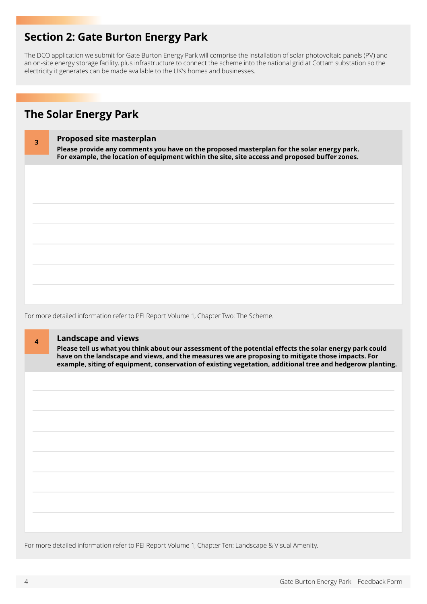### **Section 2: Gate Burton Energy Park**

The DCO application we submit for Gate Burton Energy Park will comprise the installation of solar photovoltaic panels (PV) and an on-site energy storage facility, plus infrastructure to connect the scheme into the national grid at Cottam substation so the electricity it generates can be made available to the UK's homes and businesses.

# **The Solar Energy Park**

| 3 | <b>Proposed site masterplan</b><br>Please provide any comments you have on the proposed masterplan for the solar energy park.<br>For example, the location of equipment within the site, site access and proposed buffer zones. |
|---|---------------------------------------------------------------------------------------------------------------------------------------------------------------------------------------------------------------------------------|
|   |                                                                                                                                                                                                                                 |
|   |                                                                                                                                                                                                                                 |
|   |                                                                                                                                                                                                                                 |
|   |                                                                                                                                                                                                                                 |
|   |                                                                                                                                                                                                                                 |
|   |                                                                                                                                                                                                                                 |

For more detailed information refer to PEI Report Volume 1, Chapter Two: The Scheme.

### **<sup>4</sup> Landscape and views**

**Please tell us what you think about our assessment of the potential effects the solar energy park could have on the landscape and views, and the measures we are proposing to mitigate those impacts. For example, siting of equipment, conservation of existing vegetation, additional tree and hedgerow planting.** 

For more detailed information refer to PEI Report Volume 1, Chapter Ten: Landscape & Visual Amenity.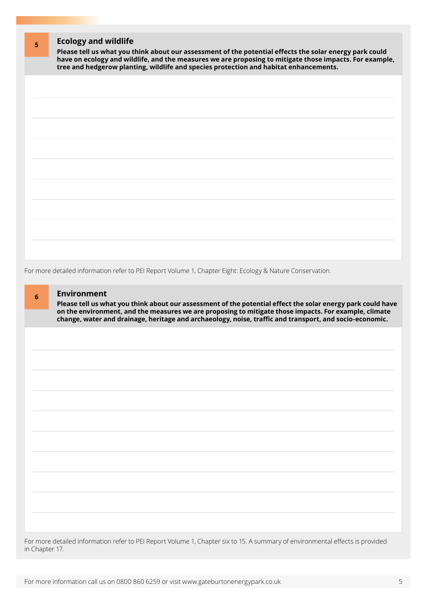| 5                                                                                     | <b>Ecology and wildlife</b><br>Please tell us what you think about our assessment of the potential effects the solar energy park could |
|---------------------------------------------------------------------------------------|----------------------------------------------------------------------------------------------------------------------------------------|
| tree and hedgerow planting, wildlife and species protection and habitat enhancements. | have on ecology and wildlife, and the measures we are proposing to mitigate those impacts. For example,                                |
|                                                                                       |                                                                                                                                        |
|                                                                                       |                                                                                                                                        |
|                                                                                       |                                                                                                                                        |
|                                                                                       |                                                                                                                                        |
|                                                                                       |                                                                                                                                        |
|                                                                                       |                                                                                                                                        |
|                                                                                       |                                                                                                                                        |
|                                                                                       |                                                                                                                                        |
|                                                                                       |                                                                                                                                        |
|                                                                                       |                                                                                                                                        |
|                                                                                       |                                                                                                                                        |

For more detailed information refer to PEI Report Volume 1, Chapter Eight: Ecology & Nature Conservation.

### **<sup>6</sup> Environment**

**Please tell us what you think about our assessment of the potential effect the solar energy park could have on the environment, and the measures we are proposing to mitigate those impacts. For example, climate change, water and drainage, heritage and archaeology, noise, traffic and transport, and socio-economic.** 

For more detailed information refer to PEI Report Volume 1, Chapter six to 15. A summary of environmental effects is provided in Chapter 17.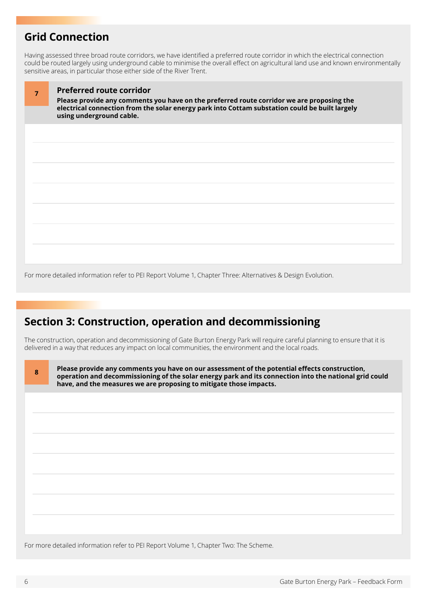# **Grid Connection**

Having assessed three broad route corridors, we have identified a preferred route corridor in which the electrical connection could be routed largely using underground cable to minimise the overall effect on agricultural land use and known environmentally sensitive areas, in particular those either side of the River Trent.

| 7 | <b>Preferred route corridor</b><br>Please provide any comments you have on the preferred route corridor we are proposing the<br>electrical connection from the solar energy park into Cottam substation could be built largely<br>using underground cable. |
|---|------------------------------------------------------------------------------------------------------------------------------------------------------------------------------------------------------------------------------------------------------------|
|   |                                                                                                                                                                                                                                                            |
|   |                                                                                                                                                                                                                                                            |
|   |                                                                                                                                                                                                                                                            |
|   |                                                                                                                                                                                                                                                            |
|   |                                                                                                                                                                                                                                                            |
|   |                                                                                                                                                                                                                                                            |
|   |                                                                                                                                                                                                                                                            |
|   |                                                                                                                                                                                                                                                            |
|   |                                                                                                                                                                                                                                                            |
|   |                                                                                                                                                                                                                                                            |
|   |                                                                                                                                                                                                                                                            |
|   |                                                                                                                                                                                                                                                            |

For more detailed information refer to PEI Report Volume 1, Chapter Three: Alternatives & Design Evolution.

# **Section 3: Construction, operation and decommissioning**

The construction, operation and decommissioning of Gate Burton Energy Park will require careful planning to ensure that it is delivered in a way that reduces any impact on local communities, the environment and the local roads.

| 8 | Please provide any comments you have on our assessment of the potential effects construction,<br>operation and decommissioning of the solar energy park and its connection into the national grid could<br>have, and the measures we are proposing to mitigate those impacts. |
|---|-------------------------------------------------------------------------------------------------------------------------------------------------------------------------------------------------------------------------------------------------------------------------------|
|   |                                                                                                                                                                                                                                                                               |
|   |                                                                                                                                                                                                                                                                               |
|   |                                                                                                                                                                                                                                                                               |
|   |                                                                                                                                                                                                                                                                               |
|   |                                                                                                                                                                                                                                                                               |
|   |                                                                                                                                                                                                                                                                               |
|   |                                                                                                                                                                                                                                                                               |

For more detailed information refer to PEI Report Volume 1, Chapter Two: The Scheme.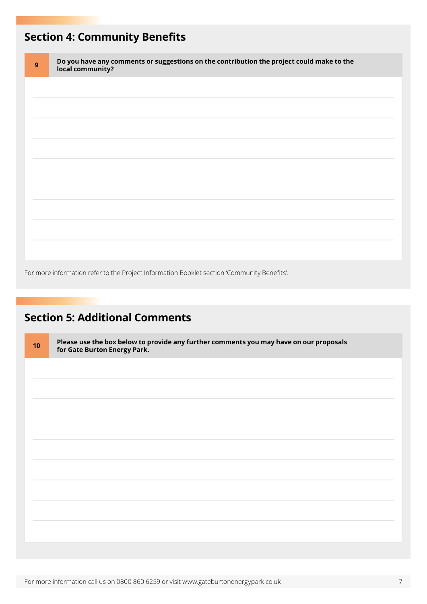# **Section 4: Community Benefits**

| $\overline{9}$ | Do you have any comments or suggestions on the contribution the project could make to the local community? |
|----------------|------------------------------------------------------------------------------------------------------------|
|                |                                                                                                            |
|                |                                                                                                            |
|                |                                                                                                            |
|                |                                                                                                            |
|                |                                                                                                            |
|                |                                                                                                            |
|                |                                                                                                            |

For more information refer to the Project Information Booklet section 'Community Benefits'.

# **Section 5: Additional Comments**

| 10 | Please use the box below to provide any further comments you may have on our proposals<br>for Gate Burton Energy Park. |
|----|------------------------------------------------------------------------------------------------------------------------|
|    |                                                                                                                        |
|    |                                                                                                                        |
|    |                                                                                                                        |
|    |                                                                                                                        |
|    |                                                                                                                        |
|    |                                                                                                                        |
|    |                                                                                                                        |
|    |                                                                                                                        |
|    |                                                                                                                        |
|    |                                                                                                                        |